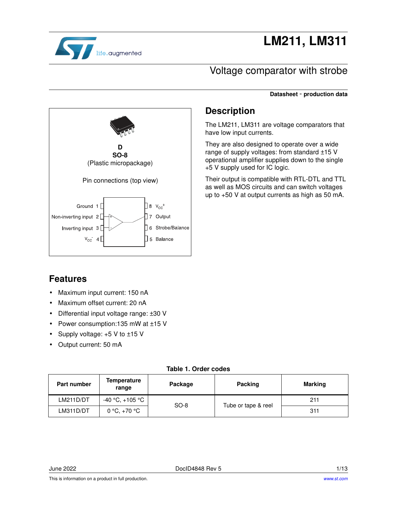

# **LM211, LM311**

**Datasheet** - **production data**

### Voltage comparator with strobe

**D SO-8** (Plastic micropackage) Pin connections (top view)  $\Box$ 8  $v_{cc}$ <sup>+</sup> Ground 1 Non-inverting input 2  $7$  Output □ Strobe/Balance Inverting input 3  $V_{CC}$  4  $\Box$  5 Balance

### **Description**

The LM211, LM311 are voltage comparators that have low input currents.

They are also designed to operate over a wide range of supply voltages: from standard ±15 V operational amplifier supplies down to the single +5 V supply used for IC logic.

Their output is compatible with RTL-DTL and TTL as well as MOS circuits and can switch voltages up to +50 V at output currents as high as 50 mA.

### **Features**

- Maximum input current: 150 nA
- Maximum offset current: 20 nA
- Differential input voltage range: ±30 V
- Power consumption:135 mW at ±15 V
- Supply voltage: +5 V to ±15 V
- Output current: 50 mA

#### **Table 1. Order codes**

| <b>Part number</b> | Temperature<br>range | Package | <b>Packing</b>      | Marking |  |
|--------------------|----------------------|---------|---------------------|---------|--|
| LM211D/DT          | -40 °C, +105 °C      | $SO-8$  | Tube or tape & reel | 211     |  |
| LM311D/DT          | 0 °C, +70 °C         |         |                     | 311     |  |

June 2022 DocID4848 Rev 5 1/13

This is information on a product in full production.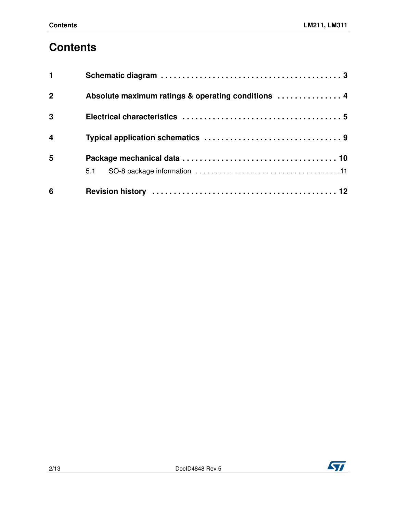# **Contents**

| 6              |                                                    |
|----------------|----------------------------------------------------|
|                | 5.1                                                |
| 5              |                                                    |
| $\overline{4}$ |                                                    |
| $\overline{3}$ |                                                    |
| $\overline{2}$ | Absolute maximum ratings & operating conditions  4 |
| $\mathbf{1}$   |                                                    |

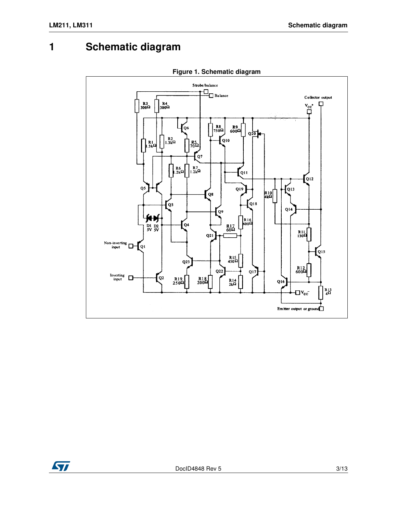## **1 Schematic diagram**

**Figure 1. Schematic diagram**

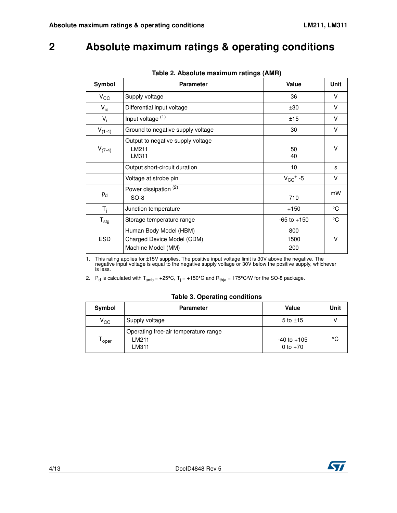### <span id="page-3-0"></span>**2 Absolute maximum ratings & operating conditions**

<span id="page-3-1"></span>

| Symbol           | <b>Parameter</b>                                                           | Value              | Unit   |
|------------------|----------------------------------------------------------------------------|--------------------|--------|
| $V_{\rm CC}$     | Supply voltage                                                             | 36                 | V      |
| $V_{id}$         | Differential input voltage                                                 | ±30                | V      |
| $V_i$            | Input voltage (1)                                                          | ±15                | V      |
| $V_{(1-4)}$      | Ground to negative supply voltage                                          | 30                 | V      |
| $V_{(7-4)}$      | Output to negative supply voltage<br>LM211<br>LM311                        | 50<br>40           | v      |
|                  | Output short-circuit duration                                              | 10 <sup>°</sup>    | s      |
|                  | Voltage at strobe pin                                                      | $V_{CC}$ + -5      | V      |
| $P_{d}$          | Power dissipation (2)<br>$SO-8$                                            | 710                | mW     |
| $T_i$            | Junction temperature                                                       | $+150$             | °C     |
| $T_{\text{stg}}$ | Storage temperature range                                                  | $-65$ to $+150$    | °C     |
| <b>ESD</b>       | Human Body Model (HBM)<br>Charged Device Model (CDM)<br>Machine Model (MM) | 800<br>1500<br>200 | $\vee$ |

|  |  | Table 2. Absolute maximum ratings (AMR) |  |  |
|--|--|-----------------------------------------|--|--|
|--|--|-----------------------------------------|--|--|

1. This rating applies for ±15V supplies. The positive input voltage limit is 30V above the negative. The negative input voltage is equal to the negative supply voltage or 30V below the positive supply, whichever is less.

2.  $\,$  P<sub>d</sub> is calculated with T<sub>amb</sub> = +25°C, T<sub>j</sub> = +150°C and R<sub>thja</sub> = 175°C/W for the SO-8 package.

#### **Table 3. Operating conditions**

| Symbol       | <b>Parameter</b>                                        | Value                         | Unit |
|--------------|---------------------------------------------------------|-------------------------------|------|
| $V_{\rm CC}$ | Supply voltage                                          | $5$ to $\pm 15$               |      |
| oper         | Operating free-air temperature range<br>I M211<br>LM311 | $-40$ to $+105$<br>0 to $+70$ | °C   |

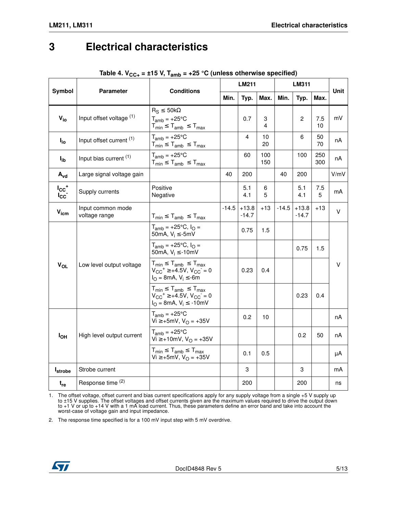### <span id="page-4-0"></span>**3 Electrical characteristics**

|                                   |                                    |                                                                                                                                        | <b>LM211</b> |                    |            | <b>LM311</b> |                    |            | Unit |  |
|-----------------------------------|------------------------------------|----------------------------------------------------------------------------------------------------------------------------------------|--------------|--------------------|------------|--------------|--------------------|------------|------|--|
| Symbol                            | <b>Parameter</b>                   | <b>Conditions</b>                                                                                                                      | Min.         | Typ.               | Max.       | Min.         | Typ.               | Max.       |      |  |
| $V_{io}$                          | Input offset voltage (1)           | $R_S \leq 50k\Omega$<br>$T_{amb} = +25^{\circ}C$<br>$T_{min} \leq T_{amb} \leq T_{max}$                                                |              | 0.7                | 3<br>4     |              | $\overline{2}$     | 7.5<br>10  | mV   |  |
| $I_{io}$                          | Input offset current (1)           | $T_{amb} = +25^{\circ}C$<br>$T_{min} \leq T_{amb} \leq T_{max}$                                                                        |              | 4                  | 10<br>20   |              | 6                  | 50<br>70   | nA   |  |
| $I_{\mathsf{ib}}$                 | Input bias current (1)             | $T_{amb} = +25^{\circ}C$<br>$T_{min} \leq T_{amb} \leq T_{max}$                                                                        |              | 60                 | 100<br>150 |              | 100                | 250<br>300 | пA   |  |
| $A_{vd}$                          | Large signal voltage gain          |                                                                                                                                        | 40           | 200                |            | 40           | 200                |            | V/mV |  |
| $I_{CC}$ <sup>+</sup><br>$I_{CC}$ | Supply currents                    | Positive<br>Negative                                                                                                                   |              | 5.1<br>4.1         | 6<br>5     |              | 5.1<br>4.1         | 7.5<br>5   | mA   |  |
| $V_{icm}$                         | Input common mode<br>voltage range | $T_{min} \leq T_{amb} \leq T_{max}$                                                                                                    | $-14.5$      | $+13.8$<br>$-14.7$ | $+13$      | $-14.5$      | $+13.8$<br>$-14.7$ | $+13$      | V    |  |
| $V_{OL}$                          | Low level output voltage           | $T_{amb}$ = +25°C, $I_{O}$ =<br>50mA, $V_i \le -5mV$<br>$T_{amb}$ = +25°C, $I_{O}$ =<br>50mA, $V_i \le -10$ mV                         |              | 0.75               | 1.5        |              | 0.75               | 1.5        | v    |  |
|                                   |                                    | $T_{min} \leq T_{amb} \leq T_{max}$<br>$V_{CC}^+ \ge +4.5V$ , $V_{CC}^-=0$<br>$I_{O} = 8mA, V_{i} \le -6m$                             |              | 0.23               | 0.4        |              |                    |            |      |  |
|                                   |                                    | $T_{min} \leq T_{amb} \leq T_{max}$<br>$V_{CC}$ <sup>+</sup> $\geq$ +4.5V, $V_{CC}$ <sup>-</sup> = 0<br>$I_{O} = 8mA, V_{i} \le -10mV$ |              |                    |            |              | 0.23               | 0.4        |      |  |
| $I_{OH}$                          |                                    | $T_{amb} = +25^{\circ}C$<br>Vi ≥ +5mV, V <sub>O</sub> = +35V                                                                           |              | 0.2                | 10         |              |                    |            | nA   |  |
|                                   | High level output current          | $T_{amb} = +25^{\circ}C$<br>Vi ≥ +10mV, V <sub>O</sub> = +35V                                                                          |              |                    |            |              | 0.2                | 50         | nA   |  |
|                                   |                                    | $T_{min} \leq T_{amb} \leq T_{max}$<br>$Vi ≥ +5mV, VO = +35V$                                                                          |              | 0.1                | 0.5        |              |                    |            | μA   |  |
| <b>I</b> strobe                   | Strobe current                     |                                                                                                                                        |              | 3                  |            |              | 3                  |            | mA   |  |
| $t_{re}$                          | Response time (2)                  |                                                                                                                                        |              | 200                |            |              | 200                |            | ns   |  |

### Table 4.  $V_{CC+}$  = ±15 V,  $T_{amb}$  = +25 °C (unless otherwise specified)

1. The offset voltage, offset current and bias current specifications apply for any supply voltage from a single +5 V supply up to ±15 V supplies. The offset voltages and offset currents given are the maximum values required to drive the output down to +1 V or up to +14 V with a 1 mA load current. Thus, these parameters define an error band and take into account the worst-case of voltage gain and input impedance.

2. The response time specified is for a 100 mV input step with 5 mV overdrive.

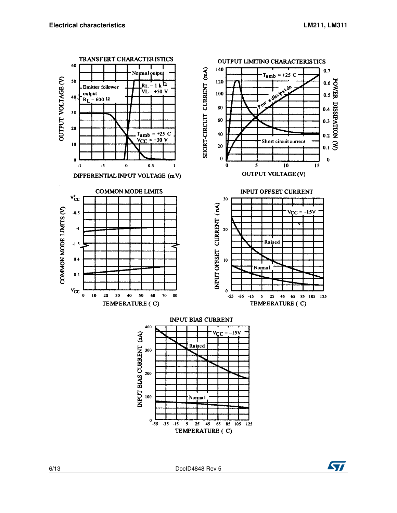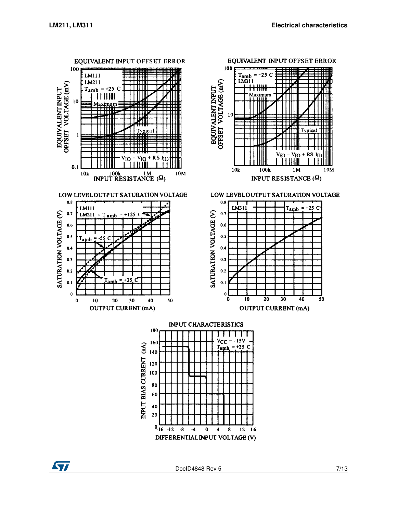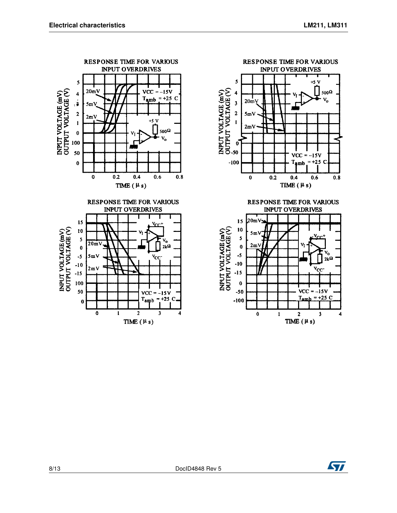

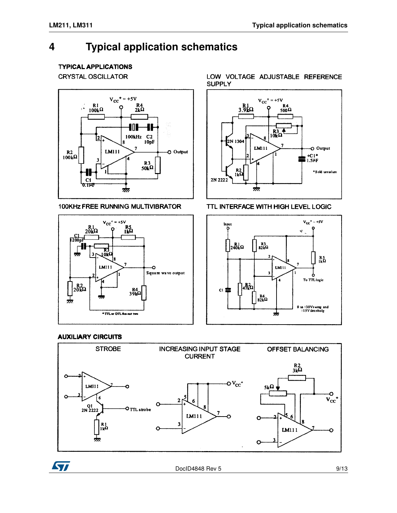## <span id="page-8-0"></span>**4 Typical application schematics**

### **TYPICAL APPLICATIONS**

**CRYSTAL OSCILLATOR** 



100KHz FREE RUNNING MULTIVIBRATOR



LOW VOLTAGE ADJUSTABLE REFERENCE **SUPPLY** 



TTL INTERFACE WITH HIGH LEVEL LOGIC



#### **AUXILIARY CIRCUITS**



ST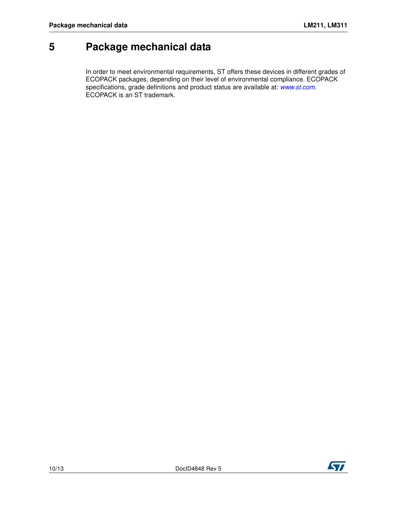## <span id="page-9-0"></span>**5 Package mechanical data**

In order to meet environmental requirements, ST offers these devic[es in different](http://www.st.com) grades of ECOPACK packages, depending on their level of environmental compliance. ECOPACK specifications, grade definitions and product status are available at: www.st.com. ECOPACK is an ST trademark.

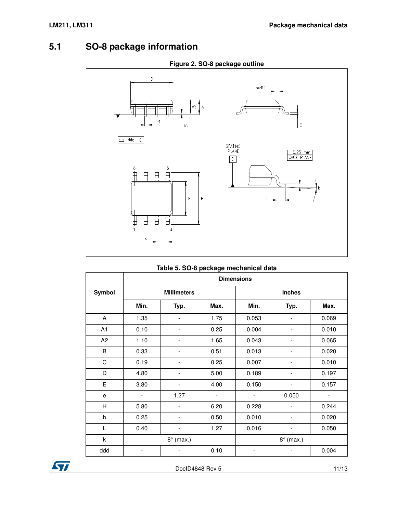### <span id="page-10-0"></span>**5.1 SO-8 package information**



| Table 5. 50-6 package illectionical data |                   |                              |                          |       |                          |       |  |  |
|------------------------------------------|-------------------|------------------------------|--------------------------|-------|--------------------------|-------|--|--|
|                                          | <b>Dimensions</b> |                              |                          |       |                          |       |  |  |
| Symbol                                   |                   | <b>Millimeters</b>           |                          |       | <b>Inches</b>            |       |  |  |
|                                          | Min.              | Typ.                         | Max.                     | Min.  | Typ.                     | Max.  |  |  |
| A                                        | 1.35              | $\overline{\phantom{a}}$     | 1.75                     | 0.053 |                          | 0.069 |  |  |
| A1                                       | 0.10              | -                            | 0.25                     | 0.004 | $\overline{\phantom{a}}$ | 0.010 |  |  |
| A <sub>2</sub>                           | 1.10              | -                            | 1.65                     | 0.043 |                          | 0.065 |  |  |
| B                                        | 0.33              | $\overline{\phantom{m}}$     | 0.51                     | 0.013 |                          | 0.020 |  |  |
| C                                        | 0.19              |                              | 0.25                     | 0.007 |                          | 0.010 |  |  |
| D                                        | 4.80              | $\overline{\phantom{a}}$     | 5.00                     | 0.189 |                          | 0.197 |  |  |
| E                                        | 3.80              | $\qquad \qquad \blacksquare$ | 4.00                     | 0.150 | $\overline{\phantom{a}}$ | 0.157 |  |  |
| e                                        |                   | 1.27                         | $\overline{\phantom{0}}$ |       | 0.050                    |       |  |  |
| H                                        | 5.80              | -                            | 6.20                     | 0.228 |                          | 0.244 |  |  |
| h                                        | 0.25              | $\overline{\phantom{a}}$     | 0.50                     | 0.010 |                          | 0.020 |  |  |
| Г                                        | 0.40              | $\overline{\phantom{a}}$     | 1.27                     | 0.016 | $\overline{\phantom{a}}$ | 0.050 |  |  |
| k                                        |                   | $8^\circ$ (max.)             |                          |       | $8^\circ$ (max.)         |       |  |  |
| ddd                                      |                   |                              | 0.10                     |       |                          | 0.004 |  |  |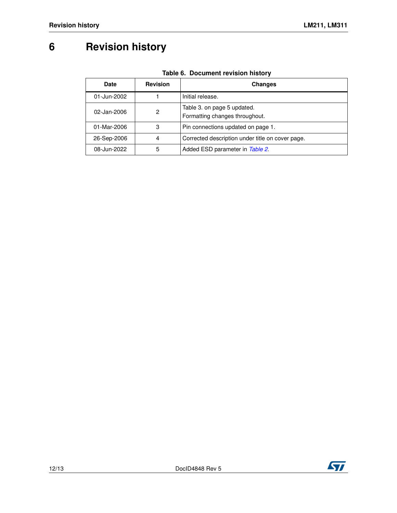# <span id="page-11-0"></span>**6 Revision history**

| <b>Date</b> | <b>Revision</b> | <b>Changes</b>                                                |
|-------------|-----------------|---------------------------------------------------------------|
| 01-Jun-2002 |                 | Initial release.                                              |
| 02-Jan-2006 | 2               | Table 3. on page 5 updated.<br>Formatting changes throughout. |
| 01-Mar-2006 | 3               | Pin connections updated on page 1.                            |
| 26-Sep-2006 | 4               | Corrected description under title on cover page.              |
| 08-Jun-2022 | 5               | Added ESD parameter in Table 2.                               |

### **Table 6. Document revision history**